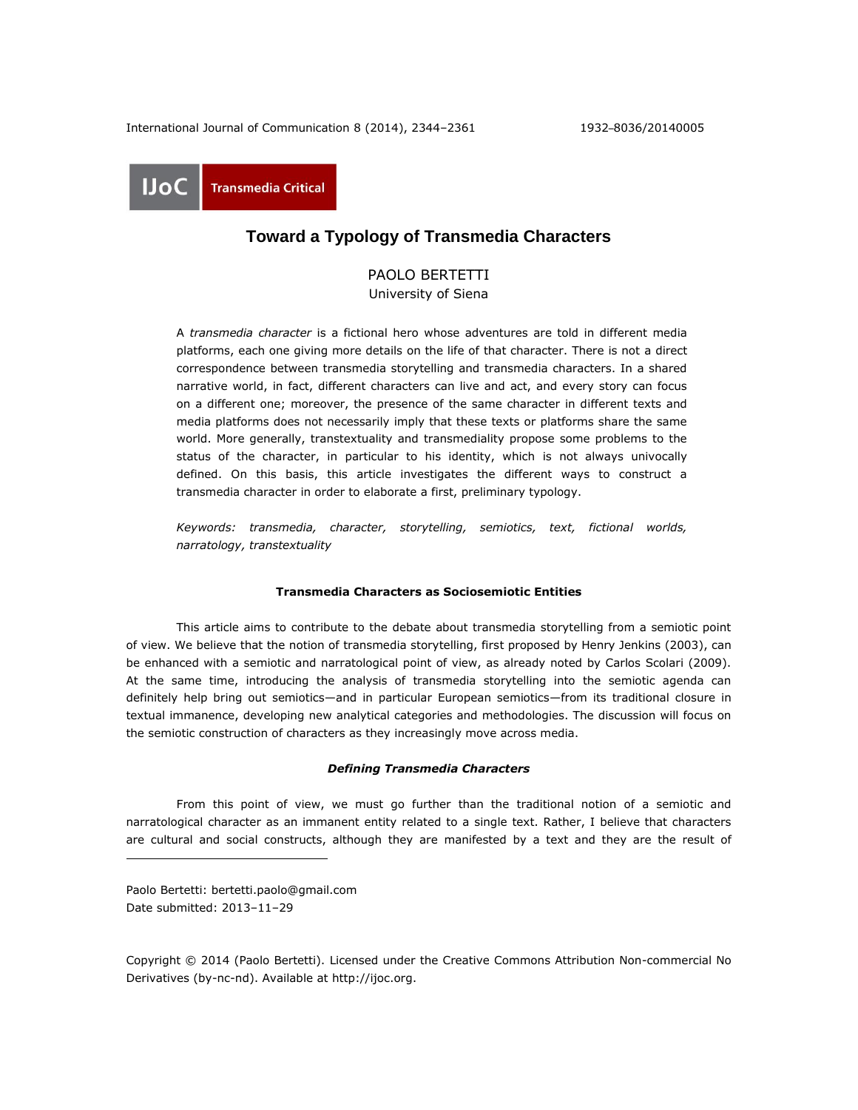International Journal of Communication 8 (2014), 2344–2361 1932–8036/20140005

**UoC Transmedia Critical** 

# **Toward a Typology of Transmedia Characters**

PAOLO BERTETTI University of Siena

A *transmedia character* is a fictional hero whose adventures are told in different media platforms, each one giving more details on the life of that character. There is not a direct correspondence between transmedia storytelling and transmedia characters. In a shared narrative world, in fact, different characters can live and act, and every story can focus on a different one; moreover, the presence of the same character in different texts and media platforms does not necessarily imply that these texts or platforms share the same world. More generally, transtextuality and transmediality propose some problems to the status of the character, in particular to his identity, which is not always univocally defined. On this basis, this article investigates the different ways to construct a transmedia character in order to elaborate a first, preliminary typology.

*Keywords: transmedia, character, storytelling, semiotics, text, fictional worlds, narratology, transtextuality*

# **Transmedia Characters as Sociosemiotic Entities**

This article aims to contribute to the debate about transmedia storytelling from a semiotic point of view. We believe that the notion of transmedia storytelling, first proposed by Henry Jenkins (2003), can be enhanced with a semiotic and narratological point of view, as already noted by Carlos Scolari (2009). At the same time, introducing the analysis of transmedia storytelling into the semiotic agenda can definitely help bring out semiotics—and in particular European semiotics—from its traditional closure in textual immanence, developing new analytical categories and methodologies. The discussion will focus on the semiotic construction of characters as they increasingly move across media.

### *Defining Transmedia Characters*

From this point of view, we must go further than the traditional notion of a semiotic and narratological character as an immanent entity related to a single text. Rather, I believe that characters are cultural and social constructs, although they are manifested by a text and they are the result of

Paolo Bertetti: [bertetti.paolo@gmail.com](mailto:bertetti.paolo@gmail.com) Date submitted: 2013–11–29

l

Copyright © 2014 (Paolo Bertetti). Licensed under the Creative Commons Attribution Non-commercial No Derivatives (by-nc-nd). Available at [http://ijoc.org.](http://ijoc.org/)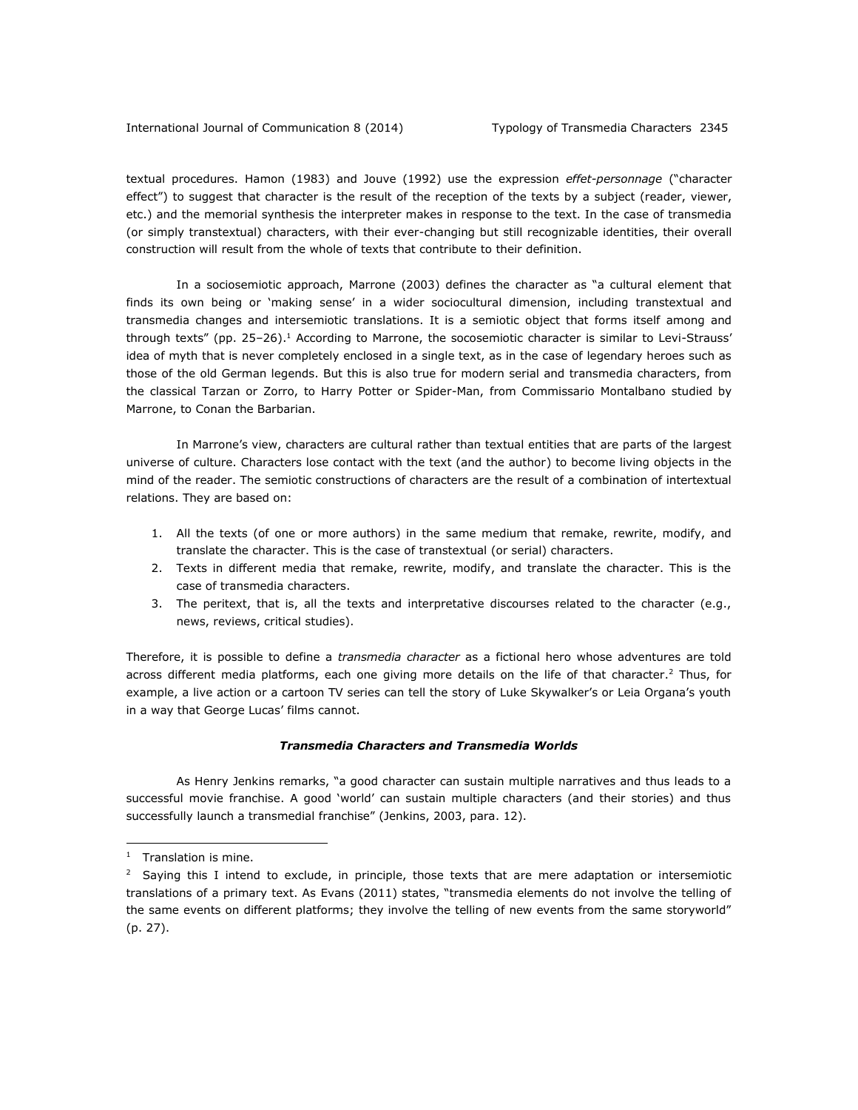textual procedures. Hamon (1983) and Jouve (1992) use the expression *effet-personnage* ("character effect") to suggest that character is the result of the reception of the texts by a subject (reader, viewer, etc.) and the memorial synthesis the interpreter makes in response to the text. In the case of transmedia (or simply transtextual) characters, with their ever-changing but still recognizable identities, their overall construction will result from the whole of texts that contribute to their definition.

In a sociosemiotic approach, Marrone (2003) defines the character as "a cultural element that finds its own being or 'making sense' in a wider sociocultural dimension, including transtextual and transmedia changes and intersemiotic translations. It is a semiotic object that forms itself among and through texts" (pp. 25-26).<sup>1</sup> According to Marrone, the socosemiotic character is similar to Levi-Strauss' idea of myth that is never completely enclosed in a single text, as in the case of legendary heroes such as those of the old German legends. But this is also true for modern serial and transmedia characters, from the classical Tarzan or Zorro, to Harry Potter or Spider-Man, from Commissario Montalbano studied by Marrone, to Conan the Barbarian.

In Marrone's view, characters are cultural rather than textual entities that are parts of the largest universe of culture. Characters lose contact with the text (and the author) to become living objects in the mind of the reader. The semiotic constructions of characters are the result of a combination of intertextual relations. They are based on:

- 1. All the texts (of one or more authors) in the same medium that remake, rewrite, modify, and translate the character. This is the case of transtextual (or serial) characters.
- 2. Texts in different media that remake, rewrite, modify, and translate the character. This is the case of transmedia characters.
- 3. The peritext, that is, all the texts and interpretative discourses related to the character (e.g., news, reviews, critical studies).

Therefore, it is possible to define a *transmedia character* as a fictional hero whose adventures are told across different media platforms, each one giving more details on the life of that character.<sup>2</sup> Thus, for example, a live action or a cartoon TV series can tell the story of Luke Skywalker's or Leia Organa's youth in a way that George Lucas' films cannot.

# *Transmedia Characters and Transmedia Worlds*

As Henry Jenkins remarks, "a good character can sustain multiple narratives and thus leads to a successful movie franchise. A good 'world' can sustain multiple characters (and their stories) and thus successfully launch a transmedial franchise" (Jenkins, 2003, para. 12).

l

<sup>&</sup>lt;sup>1</sup> Translation is mine.

 $2$  Saying this I intend to exclude, in principle, those texts that are mere adaptation or intersemiotic translations of a primary text. As Evans (2011) states, "transmedia elements do not involve the telling of the same events on different platforms; they involve the telling of new events from the same storyworld" (p. 27).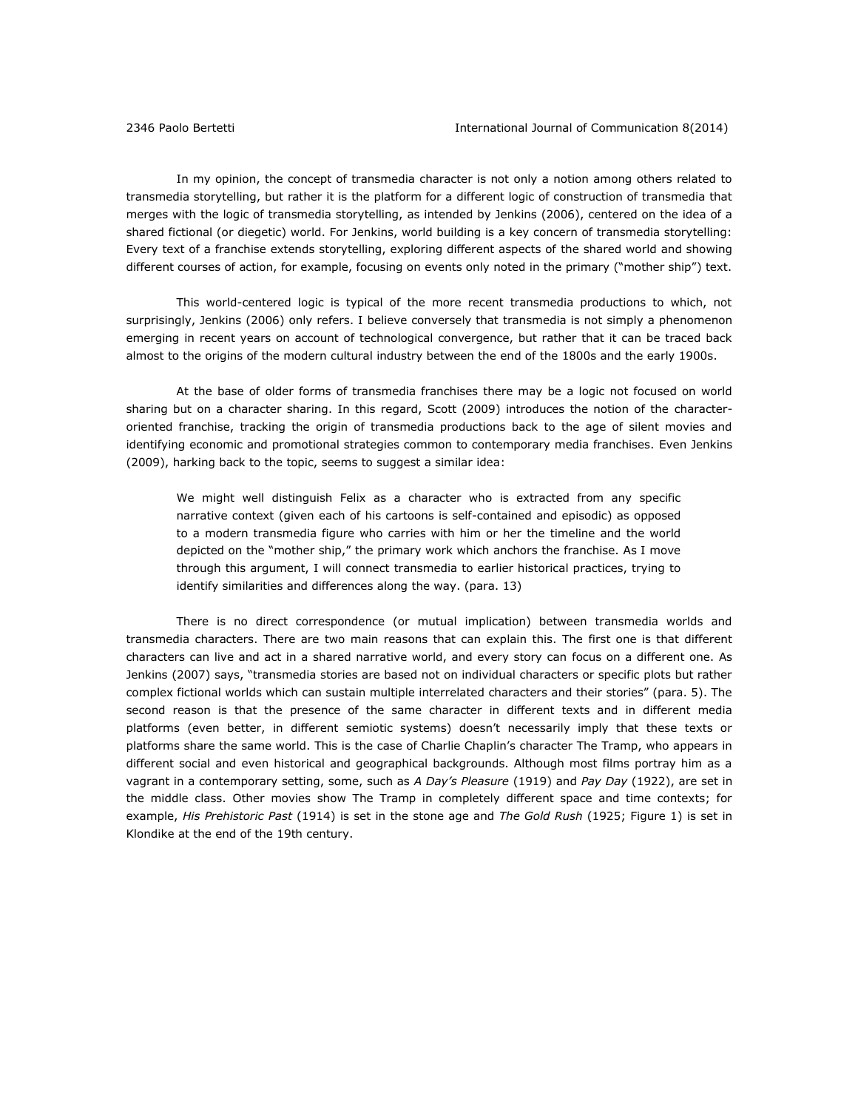In my opinion, the concept of transmedia character is not only a notion among others related to transmedia storytelling, but rather it is the platform for a different logic of construction of transmedia that merges with the logic of transmedia storytelling, as intended by Jenkins (2006), centered on the idea of a shared fictional (or diegetic) world. For Jenkins, world building is a key concern of transmedia storytelling: Every text of a franchise extends storytelling, exploring different aspects of the shared world and showing different courses of action, for example, focusing on events only noted in the primary ("mother ship") text.

This world-centered logic is typical of the more recent transmedia productions to which, not surprisingly, Jenkins (2006) only refers. I believe conversely that transmedia is not simply a phenomenon emerging in recent years on account of technological convergence, but rather that it can be traced back almost to the origins of the modern cultural industry between the end of the 1800s and the early 1900s.

At the base of older forms of transmedia franchises there may be a logic not focused on world sharing but on a character sharing. In this regard, Scott (2009) introduces the notion of the characteroriented franchise, tracking the origin of transmedia productions back to the age of silent movies and identifying economic and promotional strategies common to contemporary media franchises. Even Jenkins (2009), harking back to the topic, seems to suggest a similar idea:

We might well distinguish Felix as a character who is extracted from any specific narrative context (given each of his cartoons is self-contained and episodic) as opposed to a modern transmedia figure who carries with him or her the timeline and the world depicted on the "mother ship," the primary work which anchors the franchise. As I move through this argument, I will connect transmedia to earlier historical practices, trying to identify similarities and differences along the way. (para. 13)

There is no direct correspondence (or mutual implication) between transmedia worlds and transmedia characters. There are two main reasons that can explain this. The first one is that different characters can live and act in a shared narrative world, and every story can focus on a different one. As Jenkins (2007) says, "transmedia stories are based not on individual characters or specific plots but rather complex fictional worlds which can sustain multiple interrelated characters and their stories" (para. 5). The second reason is that the presence of the same character in different texts and in different media platforms (even better, in different semiotic systems) doesn't necessarily imply that these texts or platforms share the same world. This is the case of Charlie Chaplin's character The Tramp, who appears in different social and even historical and geographical backgrounds. Although most films portray him as a vagrant in a contemporary setting, some, such as *A Day's Pleasure* (1919) and *Pay Day* (1922), are set in the middle class. Other movies show The Tramp in completely different space and time contexts; for example, *His Prehistoric Past* (1914) is set in the stone age and *The Gold Rush* (1925; Figure 1) is set in Klondike at the end of the 19th century.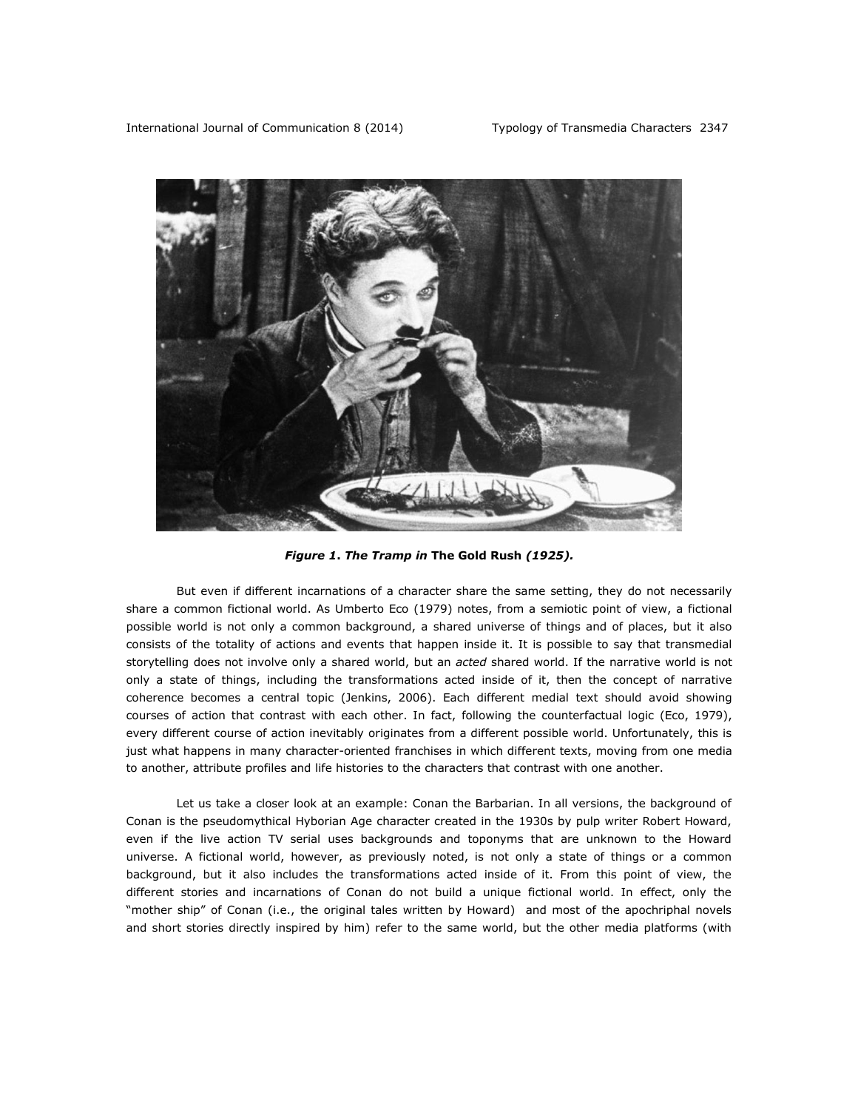

*Figure 1***.** *The Tramp in* **The Gold Rush** *(1925).*

But even if different incarnations of a character share the same setting, they do not necessarily share a common fictional world. As Umberto Eco (1979) notes, from a semiotic point of view, a fictional possible world is not only a common background, a shared universe of things and of places, but it also consists of the totality of actions and events that happen inside it. It is possible to say that transmedial storytelling does not involve only a shared world, but an *acted* shared world. If the narrative world is not only a state of things, including the transformations acted inside of it, then the concept of narrative coherence becomes a central topic (Jenkins, 2006). Each different medial text should avoid showing courses of action that contrast with each other. In fact, following the counterfactual logic (Eco, 1979), every different course of action inevitably originates from a different possible world. Unfortunately, this is just what happens in many character-oriented franchises in which different texts, moving from one media to another, attribute profiles and life histories to the characters that contrast with one another.

Let us take a closer look at an example: Conan the Barbarian. In all versions, the background of Conan is the pseudomythical Hyborian Age character created in the 1930s by pulp writer Robert Howard, even if the live action TV serial uses backgrounds and toponyms that are unknown to the Howard universe. A fictional world, however, as previously noted, is not only a state of things or a common background, but it also includes the transformations acted inside of it. From this point of view, the different stories and incarnations of Conan do not build a unique fictional world. In effect, only the "mother ship" of Conan (i.e., the original tales written by Howard) and most of the apochriphal novels and short stories directly inspired by him) refer to the same world, but the other media platforms (with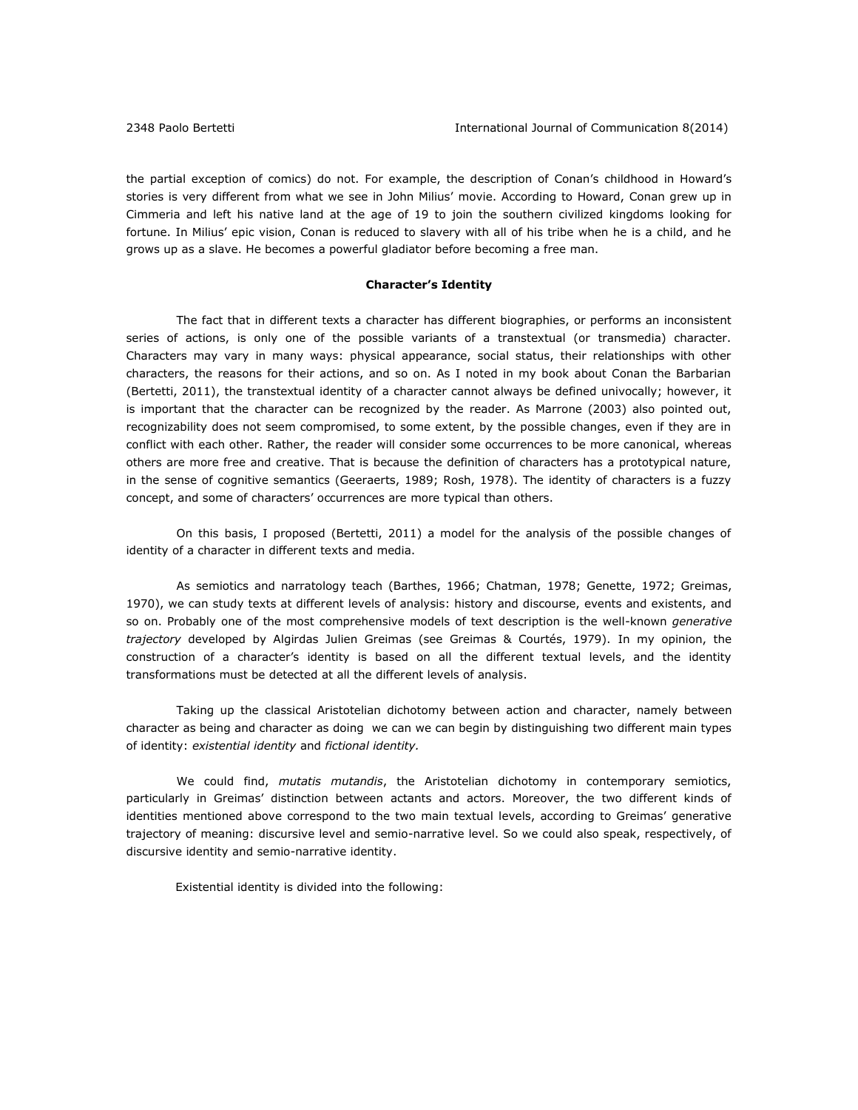the partial exception of comics) do not. For example, the description of Conan's childhood in Howard's stories is very different from what we see in John Milius' movie. According to Howard, Conan grew up in Cimmeria and left his native land at the age of 19 to join the southern civilized kingdoms looking for fortune. In Milius' epic vision, Conan is reduced to slavery with all of his tribe when he is a child, and he grows up as a slave. He becomes a powerful gladiator before becoming a free man.

# **Character's Identity**

The fact that in different texts a character has different biographies, or performs an inconsistent series of actions, is only one of the possible variants of a transtextual (or transmedia) character. Characters may vary in many ways: physical appearance, social status, their relationships with other characters, the reasons for their actions, and so on. As I noted in my book about Conan the Barbarian (Bertetti, 2011), the transtextual identity of a character cannot always be defined univocally; however, it is important that the character can be recognized by the reader. As Marrone (2003) also pointed out, recognizability does not seem compromised, to some extent, by the possible changes, even if they are in conflict with each other. Rather, the reader will consider some occurrences to be more canonical, whereas others are more free and creative. That is because the definition of characters has a prototypical nature, in the sense of cognitive semantics (Geeraerts, 1989; Rosh, 1978). The identity of characters is a fuzzy concept, and some of characters' occurrences are more typical than others.

On this basis, I proposed (Bertetti, 2011) a model for the analysis of the possible changes of identity of a character in different texts and media.

As semiotics and narratology teach (Barthes, 1966; Chatman, 1978; Genette, 1972; Greimas, 1970), we can study texts at different levels of analysis: history and discourse, events and existents, and so on. Probably one of the most comprehensive models of text description is the well-known *generative trajectory* developed by Algirdas Julien Greimas (see Greimas & Courtés, 1979). In my opinion, the construction of a character's identity is based on all the different textual levels, and the identity transformations must be detected at all the different levels of analysis.

Taking up the classical Aristotelian dichotomy between action and character, namely between character as being and character as doing we can we can begin by distinguishing two different main types of identity: *existential identity* and *fictional identity.*

We could find, *mutatis mutandis*, the Aristotelian dichotomy in contemporary semiotics, particularly in Greimas' distinction between actants and actors. Moreover, the two different kinds of identities mentioned above correspond to the two main textual levels, according to Greimas' generative trajectory of meaning: discursive level and semio-narrative level. So we could also speak, respectively, of discursive identity and semio-narrative identity.

Existential identity is divided into the following: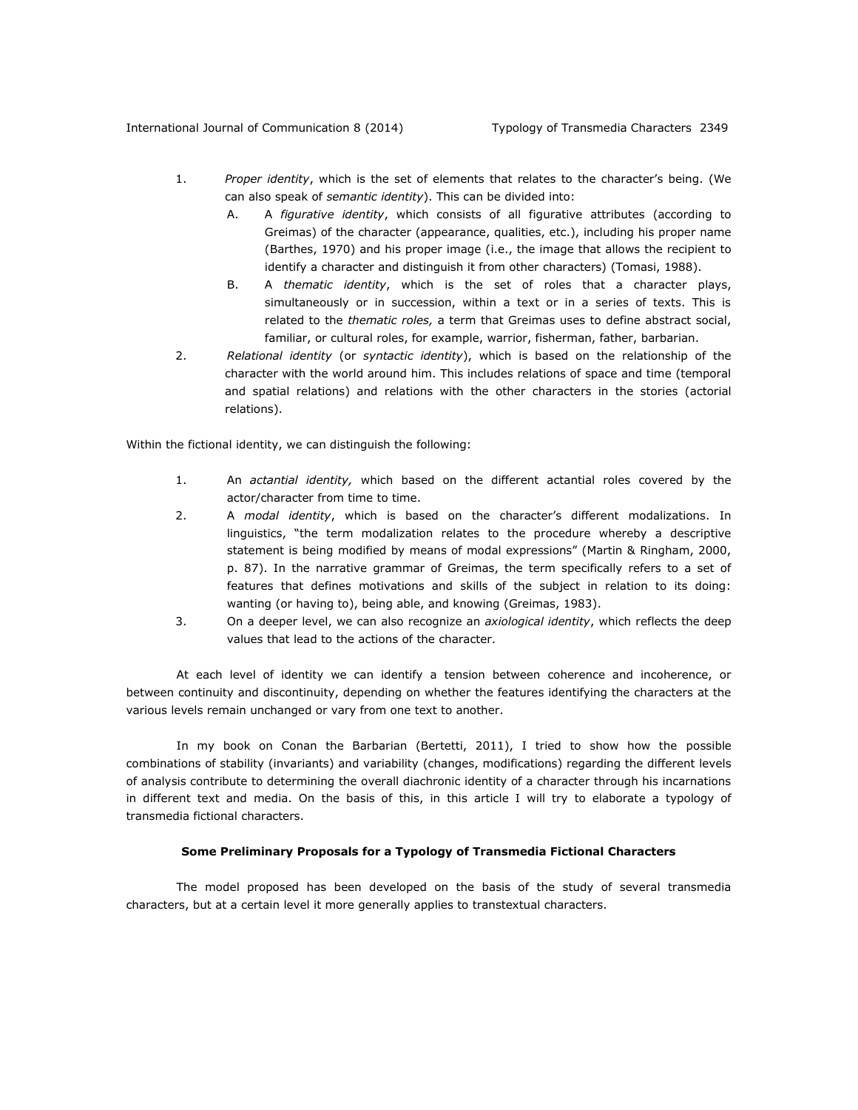### International Journal of Communication 8 (2014) Typology of Transmedia Characters 2349

- 1. *Proper identity*, which is the set of elements that relates to the character's being. (We can also speak of *semantic identity*). This can be divided into:
	- A. A *figurative identity*, which consists of all figurative attributes (according to Greimas) of the character (appearance, qualities, etc.), including his proper name (Barthes, 1970) and his proper image (i.e., the image that allows the recipient to identify a character and distinguish it from other characters) (Tomasi, 1988).
	- B. A *thematic identity*, which is the set of roles that a character plays, simultaneously or in succession, within a text or in a series of texts. This is related to the *thematic roles,* a term that Greimas uses to define abstract social, familiar, or cultural roles, for example, warrior, fisherman, father, barbarian.
- 2. *Relational identity* (or *syntactic identity*), which is based on the relationship of the character with the world around him. This includes relations of space and time (temporal and spatial relations) and relations with the other characters in the stories (actorial relations).

Within the fictional identity, we can distinguish the following:

- 1. An *actantial identity,* which based on the different actantial roles covered by the actor/character from time to time.
- 2. A *modal identity*, which is based on the character's different modalizations. In linguistics, "the term modalization relates to the procedure whereby a descriptive statement is being modified by means of modal expressions" (Martin & Ringham, 2000, p. 87). In the narrative grammar of Greimas, the term specifically refers to a set of features that defines motivations and skills of the subject in relation to its doing: wanting (or having to), being able, and knowing (Greimas, 1983).
- 3. On a deeper level, we can also recognize an *axiological identity*, which reflects the deep values that lead to the actions of the character.

At each level of identity we can identify a tension between coherence and incoherence, or between continuity and discontinuity, depending on whether the features identifying the characters at the various levels remain unchanged or vary from one text to another.

In my book on Conan the Barbarian (Bertetti, 2011), I tried to show how the possible combinations of stability (invariants) and variability (changes, modifications) regarding the different levels of analysis contribute to determining the overall diachronic identity of a character through his incarnations in different text and media. On the basis of this, in this article I will try to elaborate a typology of transmedia fictional characters.

#### **Some Preliminary Proposals for a Typology of Transmedia Fictional Characters**

The model proposed has been developed on the basis of the study of several transmedia characters, but at a certain level it more generally applies to transtextual characters.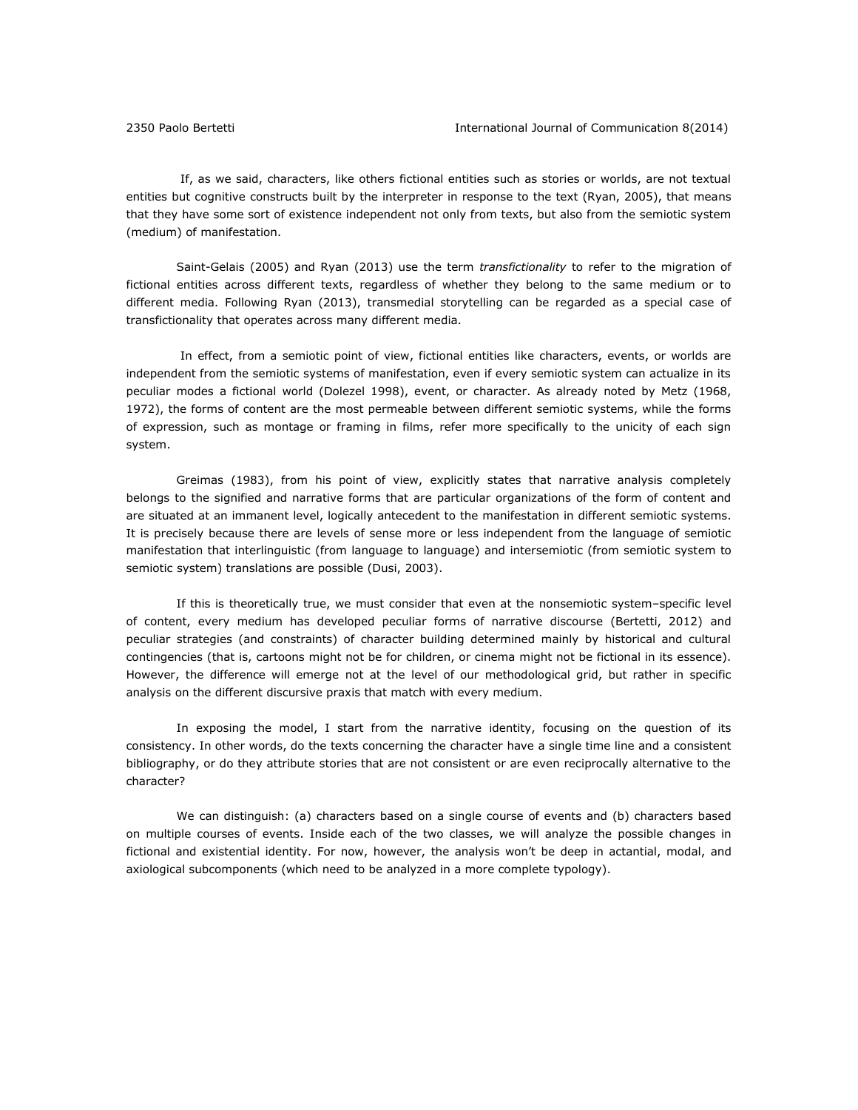If, as we said, characters, like others fictional entities such as stories or worlds, are not textual entities but cognitive constructs built by the interpreter in response to the text (Ryan, 2005), that means that they have some sort of existence independent not only from texts, but also from the semiotic system (medium) of manifestation.

Saint-Gelais (2005) and Ryan (2013) use the term *transfictionality* to refer to the migration of fictional entities across different texts, regardless of whether they belong to the same medium or to different media. Following Ryan (2013), transmedial storytelling can be regarded as a special case of transfictionality that operates across many different media.

In effect, from a semiotic point of view, fictional entities like characters, events, or worlds are independent from the semiotic systems of manifestation, even if every semiotic system can actualize in its peculiar modes a fictional world (Dolezel 1998), event, or character. As already noted by Metz (1968, 1972), the forms of content are the most permeable between different semiotic systems, while the forms of expression, such as montage or framing in films, refer more specifically to the unicity of each sign system.

Greimas (1983), from his point of view, explicitly states that narrative analysis completely belongs to the signified and narrative forms that are particular organizations of the form of content and are situated at an immanent level, logically antecedent to the manifestation in different semiotic systems. It is precisely because there are levels of sense more or less independent from the language of semiotic manifestation that interlinguistic (from language to language) and intersemiotic (from semiotic system to semiotic system) translations are possible (Dusi, 2003).

If this is theoretically true, we must consider that even at the nonsemiotic system–specific level of content, every medium has developed peculiar forms of narrative discourse (Bertetti, 2012) and peculiar strategies (and constraints) of character building determined mainly by historical and cultural contingencies (that is, cartoons might not be for children, or cinema might not be fictional in its essence). However, the difference will emerge not at the level of our methodological grid, but rather in specific analysis on the different discursive praxis that match with every medium.

In exposing the model, I start from the narrative identity, focusing on the question of its consistency. In other words, do the texts concerning the character have a single time line and a consistent bibliography, or do they attribute stories that are not consistent or are even reciprocally alternative to the character?

We can distinguish: (a) characters based on a single course of events and (b) characters based on multiple courses of events. Inside each of the two classes, we will analyze the possible changes in fictional and existential identity. For now, however, the analysis won't be deep in actantial, modal, and axiological subcomponents (which need to be analyzed in a more complete typology).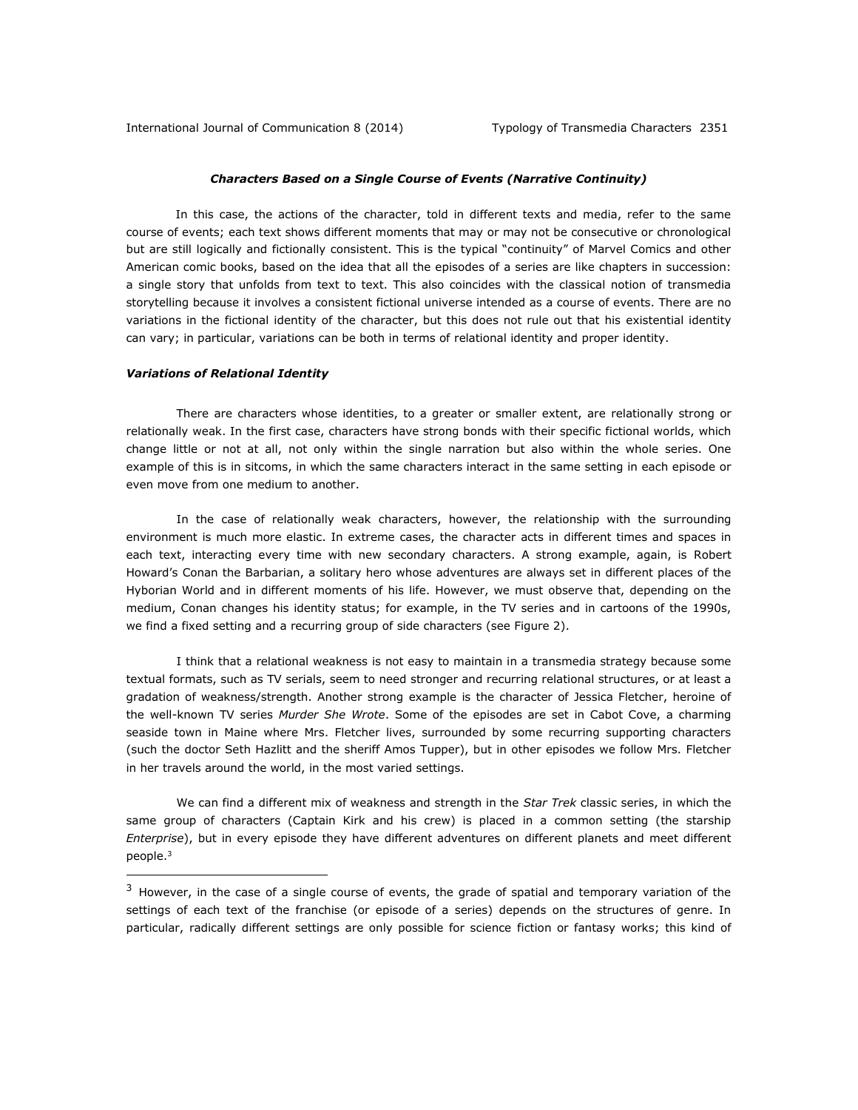# *Characters Based on a Single Course of Events (Narrative Continuity)*

In this case, the actions of the character, told in different texts and media, refer to the same course of events; each text shows different moments that may or may not be consecutive or chronological but are still logically and fictionally consistent. This is the typical "continuity" of Marvel Comics and other American comic books, based on the idea that all the episodes of a series are like chapters in succession: a single story that unfolds from text to text. This also coincides with the classical notion of transmedia storytelling because it involves a consistent fictional universe intended as a course of events. There are no variations in the fictional identity of the character, but this does not rule out that his existential identity can vary; in particular, variations can be both in terms of relational identity and proper identity.

#### *Variations of Relational Identity*

l

There are characters whose identities, to a greater or smaller extent, are relationally strong or relationally weak. In the first case, characters have strong bonds with their specific fictional worlds, which change little or not at all, not only within the single narration but also within the whole series. One example of this is in sitcoms, in which the same characters interact in the same setting in each episode or even move from one medium to another.

In the case of relationally weak characters, however, the relationship with the surrounding environment is much more elastic. In extreme cases, the character acts in different times and spaces in each text, interacting every time with new secondary characters. A strong example, again, is Robert Howard's Conan the Barbarian, a solitary hero whose adventures are always set in different places of the Hyborian World and in different moments of his life. However, we must observe that, depending on the medium, Conan changes his identity status; for example, in the TV series and in cartoons of the 1990s, we find a fixed setting and a recurring group of side characters (see Figure 2).

I think that a relational weakness is not easy to maintain in a transmedia strategy because some textual formats, such as TV serials, seem to need stronger and recurring relational structures, or at least a gradation of weakness/strength. Another strong example is the character of Jessica Fletcher, heroine of the well-known TV series *Murder She Wrote*. Some of the episodes are set in Cabot Cove, a charming seaside town in Maine where Mrs. Fletcher lives, surrounded by some recurring supporting characters (such the doctor Seth Hazlitt and the sheriff Amos Tupper), but in other episodes we follow Mrs. Fletcher in her travels around the world, in the most varied settings.

We can find a different mix of weakness and strength in the *Star Trek* classic series, in which the same group of characters (Captain Kirk and his crew) is placed in a common setting (the starship *Enterprise*), but in every episode they have different adventures on different planets and meet different people.<sup>3</sup>

 $3$  However, in the case of a single course of events, the grade of spatial and temporary variation of the settings of each text of the franchise (or episode of a series) depends on the structures of genre. In particular, radically different settings are only possible for science fiction or fantasy works; this kind of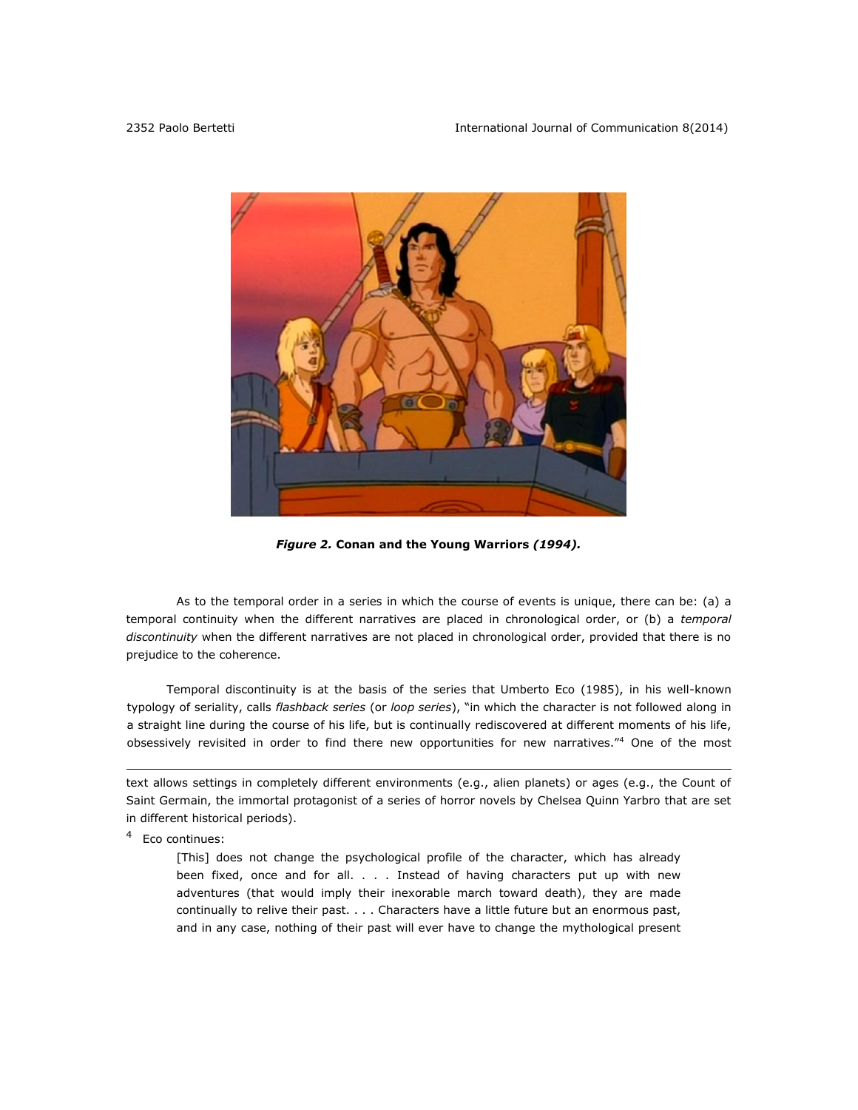

*Figure 2.* **Conan and the Young Warriors** *(1994).*

As to the temporal order in a series in which the course of events is unique, there can be: (a) a temporal continuity when the different narratives are placed in chronological order, or (b) a *temporal discontinuity* when the different narratives are not placed in chronological order, provided that there is no prejudice to the coherence.

Temporal discontinuity is at the basis of the series that Umberto Eco (1985), in his well-known typology of seriality, calls *flashback series* (or *loop series*), "in which the character is not followed along in a straight line during the course of his life, but is continually rediscovered at different moments of his life, obsessively revisited in order to find there new opportunities for new narratives."<sup>4</sup> One of the most

text allows settings in completely different environments (e.g., alien planets) or ages (e.g., the Count of Saint Germain, the immortal protagonist of a series of horror novels by Chelsea Quinn Yarbro that are set in different historical periods).

<sup>4</sup> Eco continues:

 $\overline{a}$ 

[This] does not change the psychological profile of the character, which has already been fixed, once and for all. . . . Instead of having characters put up with new adventures (that would imply their inexorable march toward death), they are made continually to relive their past. . . . Characters have a little future but an enormous past, and in any case, nothing of their past will ever have to change the mythological present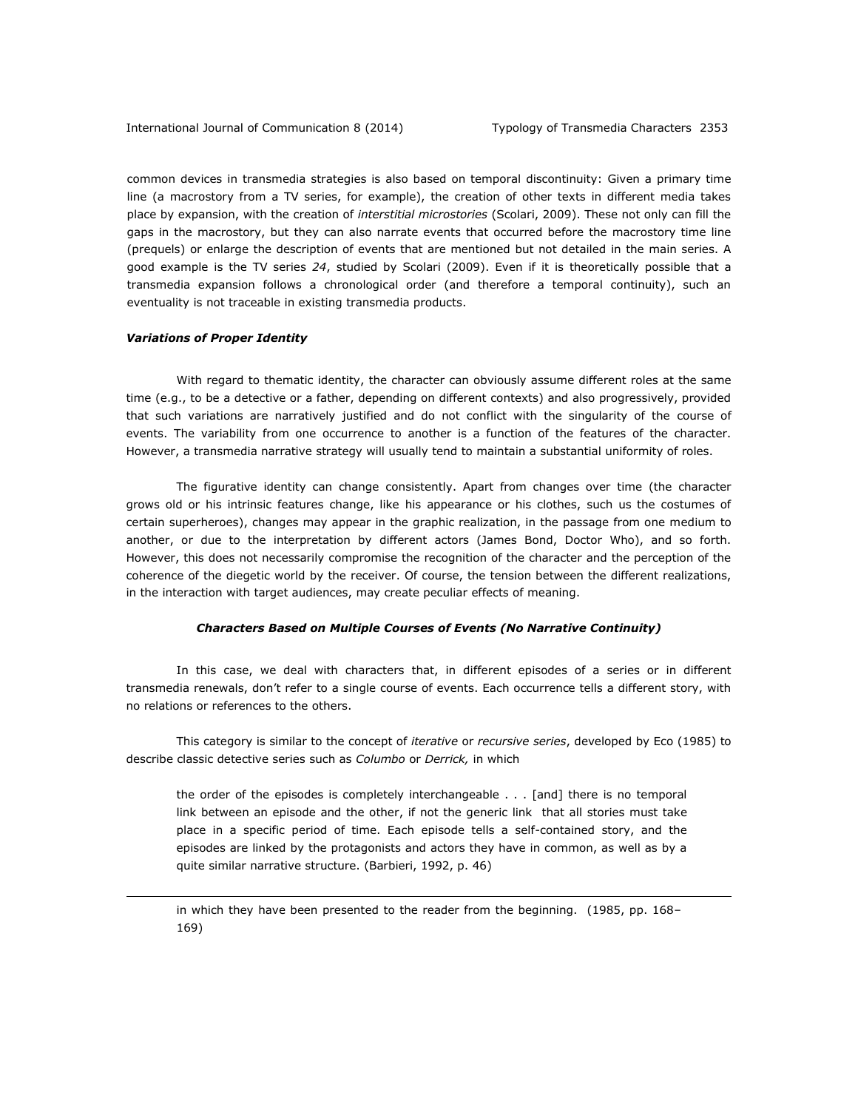common devices in transmedia strategies is also based on temporal discontinuity: Given a primary time line (a macrostory from a TV series, for example), the creation of other texts in different media takes place by expansion, with the creation of *interstitial microstories* (Scolari, 2009). These not only can fill the gaps in the macrostory, but they can also narrate events that occurred before the macrostory time line (prequels) or enlarge the description of events that are mentioned but not detailed in the main series. A good example is the TV series *24*, studied by Scolari (2009). Even if it is theoretically possible that a transmedia expansion follows a chronological order (and therefore a temporal continuity), such an eventuality is not traceable in existing transmedia products.

#### *Variations of Proper Identity*

 $\overline{a}$ 

With regard to thematic identity, the character can obviously assume different roles at the same time (e.g., to be a detective or a father, depending on different contexts) and also progressively, provided that such variations are narratively justified and do not conflict with the singularity of the course of events. The variability from one occurrence to another is a function of the features of the character. However, a transmedia narrative strategy will usually tend to maintain a substantial uniformity of roles.

The figurative identity can change consistently. Apart from changes over time (the character grows old or his intrinsic features change, like his appearance or his clothes, such us the costumes of certain superheroes), changes may appear in the graphic realization, in the passage from one medium to another, or due to the interpretation by different actors (James Bond, Doctor Who), and so forth. However, this does not necessarily compromise the recognition of the character and the perception of the coherence of the diegetic world by the receiver. Of course, the tension between the different realizations, in the interaction with target audiences, may create peculiar effects of meaning.

### *Characters Based on Multiple Courses of Events (No Narrative Continuity)*

In this case, we deal with characters that, in different episodes of a series or in different transmedia renewals, don't refer to a single course of events. Each occurrence tells a different story, with no relations or references to the others.

This category is similar to the concept of *iterative* or *recursive series*, developed by Eco (1985) to describe classic detective series such as *Columbo* or *Derrick,* in which

the order of the episodes is completely interchangeable . . . [and] there is no temporal link between an episode and the other, if not the generic link that all stories must take place in a specific period of time. Each episode tells a self-contained story, and the episodes are linked by the protagonists and actors they have in common, as well as by a quite similar narrative structure. (Barbieri, 1992, p. 46)

in which they have been presented to the reader from the beginning. (1985, pp. 168– 169)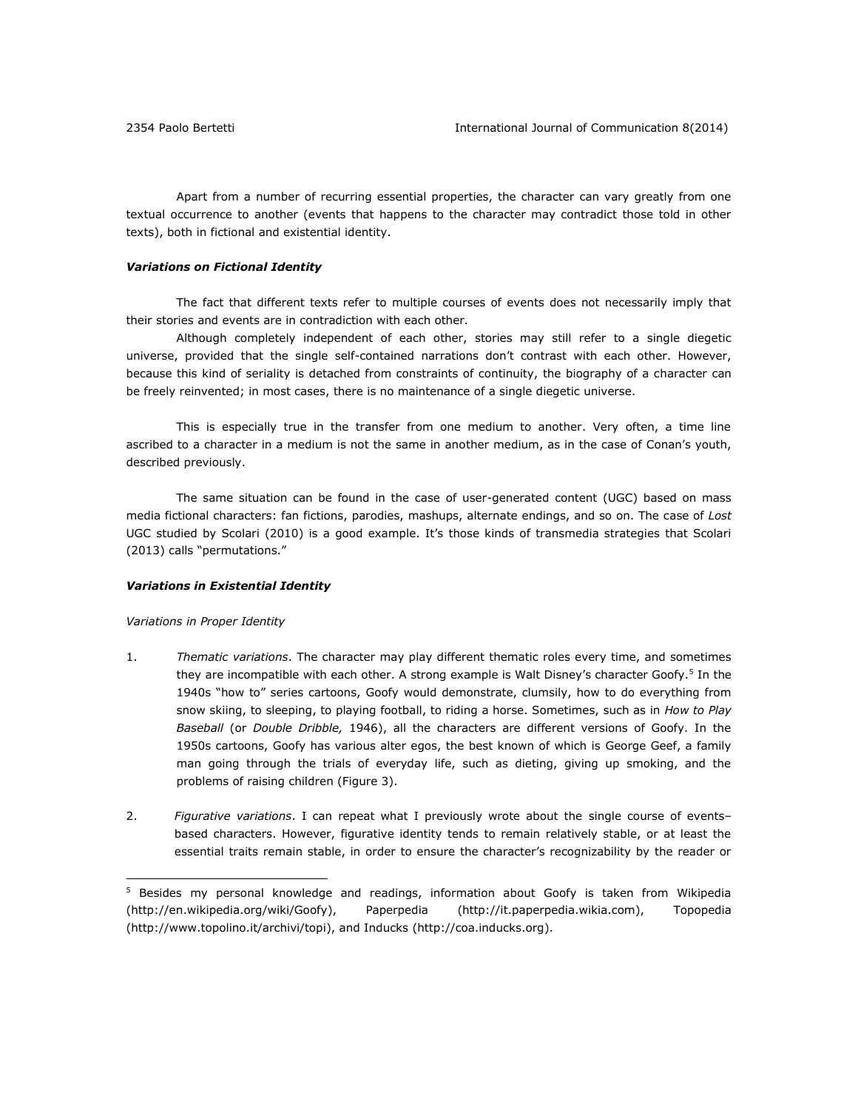Apart from a number of recurring essential properties, the character can vary greatly from one textual occurrence to another (events that happens to the character may contradict those told in other texts), both in fictional and existential identity.

### *Variations on Fictional Identity*

The fact that different texts refer to multiple courses of events does not necessarily imply that their stories and events are in contradiction with each other.

Although completely independent of each other, stories may still refer to a single diegetic universe, provided that the single self-contained narrations don't contrast with each other. However, because this kind of seriality is detached from constraints of continuity, the biography of a character can be freely reinvented; in most cases, there is no maintenance of a single diegetic universe.

This is especially true in the transfer from one medium to another. Very often, a time line ascribed to a character in a medium is not the same in another medium, as in the case of Conan's youth, described previously.

The same situation can be found in the case of user-generated content (UGC) based on mass media fictional characters: fan fictions, parodies, mashups, alternate endings, and so on. The case of *Lost*  UGC studied by Scolari (2010) is a good example. It's those kinds of transmedia strategies that Scolari (2013) calls "permutations."

### *Variations in Existential Identity*

#### *Variations in Proper Identity*

 $\overline{a}$ 

- 1. *Thematic variations*. The character may play different thematic roles every time, and sometimes they are incompatible with each other. A strong example is Walt Disney's character Goofy.<sup>5</sup> In the 1940s "how to" series cartoons, Goofy would demonstrate, clumsily, how to do everything from snow skiing, to sleeping, to playing football, to riding a horse. Sometimes, such as in *How to Play Baseball* (or *Double Dribble,* 1946), all the characters are different versions of Goofy. In the 1950s cartoons, Goofy has various alter egos, the best known of which is George Geef, a family man going through the trials of everyday life, such as dieting, giving up smoking, and the problems of raising children (Figure 3).
- 2. *Figurative variations*. I can repeat what I previously wrote about the single course of events– based characters. However, figurative identity tends to remain relatively stable, or at least the essential traits remain stable, in order to ensure the character's recognizability by the reader or

<sup>&</sup>lt;sup>5</sup> Besides my personal knowledge and readings, information about Goofy is taken from Wikipedia [\(http://en.wikipedia.org/wiki/Goofy\)](http://en.wikipedia.org/wiki/Goofy), Paperpedia [\(http://it.paperpedia.wikia.com\)](http://it.paperpedia.wikia.com/), Topopedia [\(http://www.topolino.it/archivi/topi\)](http://www.topolino.it/archivi/topi), and Inducks [\(http://coa.inducks.org\)](http://coa.inducks.org/).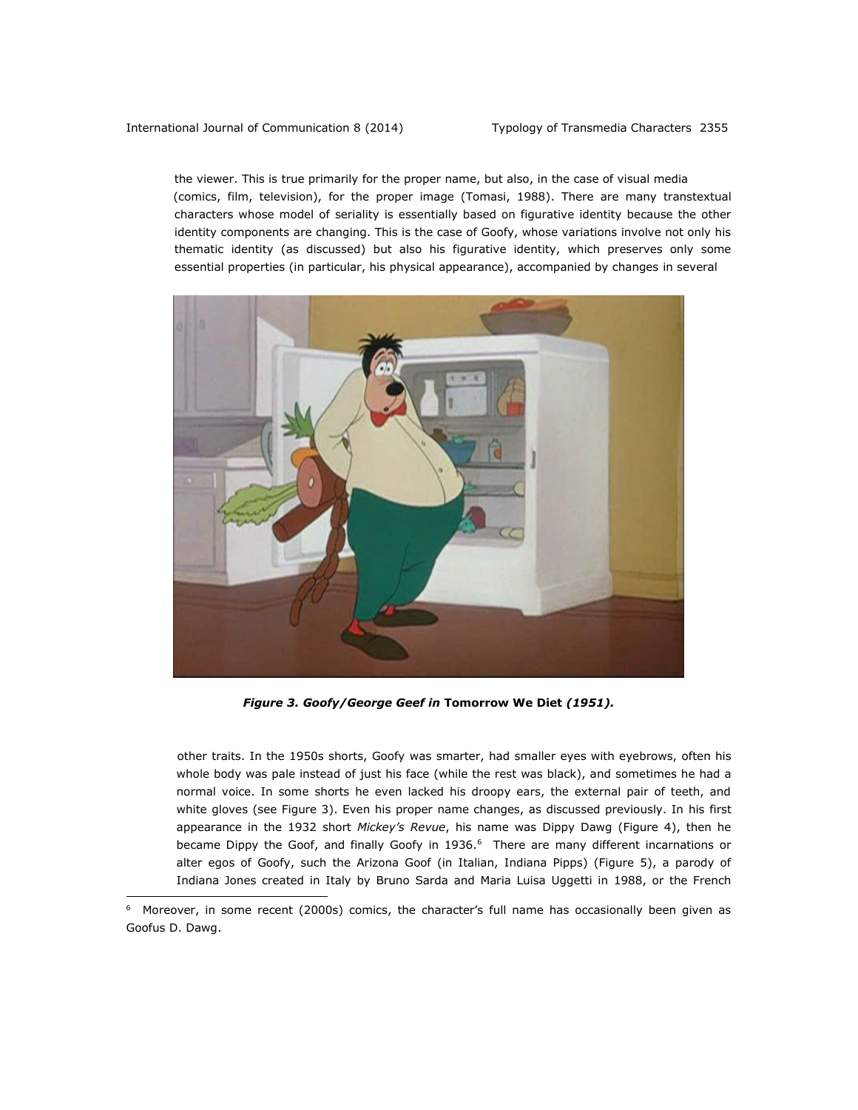$\overline{a}$ 

the viewer. This is true primarily for the proper name, but also, in the case of visual media (comics, film, television), for the proper image (Tomasi, 1988). There are many transtextual characters whose model of seriality is essentially based on figurative identity because the other identity components are changing. This is the case of Goofy, whose variations involve not only his thematic identity (as discussed) but also his figurative identity, which preserves only some essential properties (in particular, his physical appearance), accompanied by changes in several



*Figure 3. Goofy/George Geef in* **Tomorrow We Diet** *(1951).*

 other traits. In the 1950s shorts, Goofy was smarter, had smaller eyes with eyebrows, often his whole body was pale instead of just his face (while the rest was black), and sometimes he had a normal voice. In some shorts he even lacked his droopy ears, the external pair of teeth, and white gloves (see Figure 3). Even his proper name changes, as discussed previously. In his first appearance in the 1932 short *Mickey's Revue*, his name was Dippy Dawg (Figure 4), then he became Dippy the Goof, and finally Goofy in 1936.<sup>6</sup> There are many different incarnations or alter egos of Goofy, such the Arizona Goof (in Italian, Indiana Pipps) (Figure 5), a parody of Indiana Jones created in Italy by Bruno Sarda and Maria Luisa Uggetti in 1988, or the French

<sup>&</sup>lt;sup>6</sup> Moreover, in some recent (2000s) comics, the character's full name has occasionally been given as Goofus D. Dawg.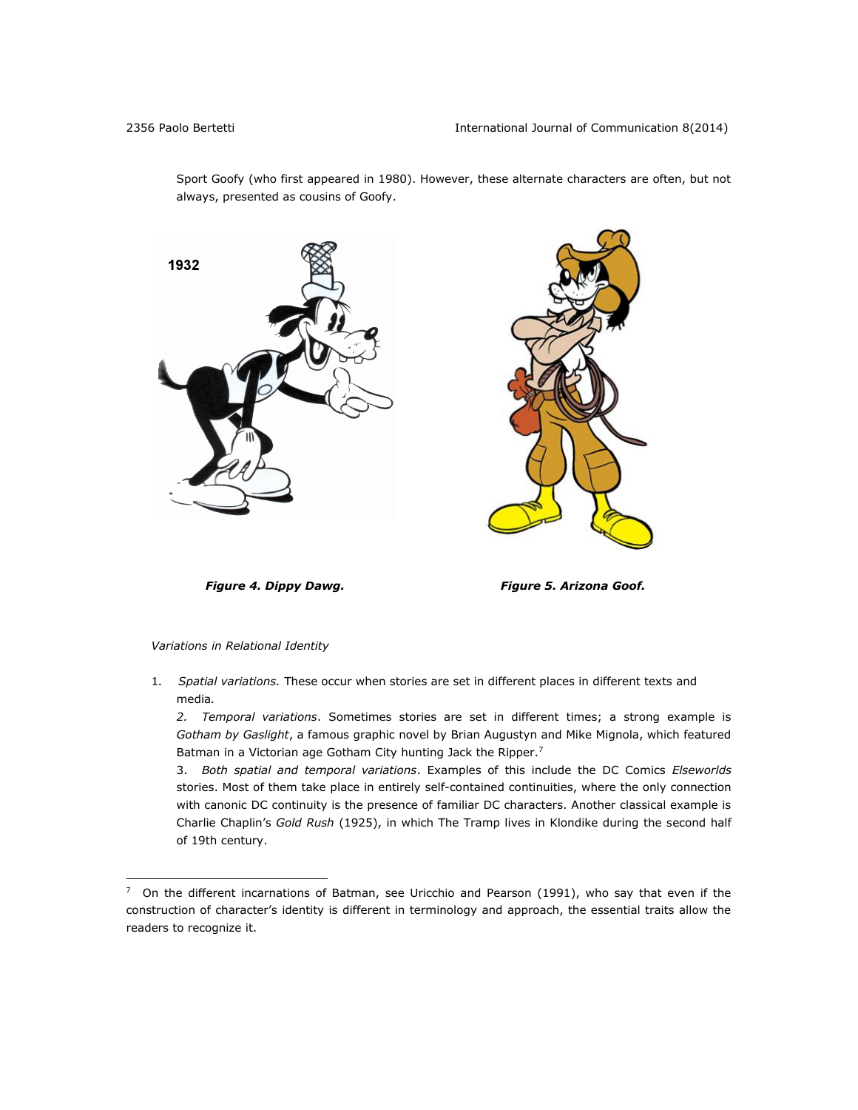Sport Goofy (who first appeared in 1980). However, these alternate characters are often, but not always, presented as cousins of Goofy.





*Figure 4. Dippy Dawg. Figure 5. Arizona Goof.*

## *Variations in Relational Identity*

 $\overline{a}$ 

1*. Spatial variations.* These occur when stories are set in different places in different texts and media*.* 

*2. Temporal variations*. Sometimes stories are set in different times; a strong example is *Gotham by Gaslight*, a famous graphic novel by Brian Augustyn and Mike Mignola, which featured Batman in a Victorian age Gotham City hunting Jack the Ripper.<sup>7</sup>

3. *Both spatial and temporal variations*. Examples of this include the DC Comics *Elseworlds* stories. Most of them take place in entirely self-contained continuities, where the only connection with canonic DC continuity is the presence of familiar DC characters. Another classical example is Charlie Chaplin's *Gold Rush* (1925), in which The Tramp lives in Klondike during the second half of 19th century.

 $7$  On the different incarnations of Batman, see Uricchio and Pearson (1991), who say that even if the construction of character's identity is different in terminology and approach, the essential traits allow the readers to recognize it.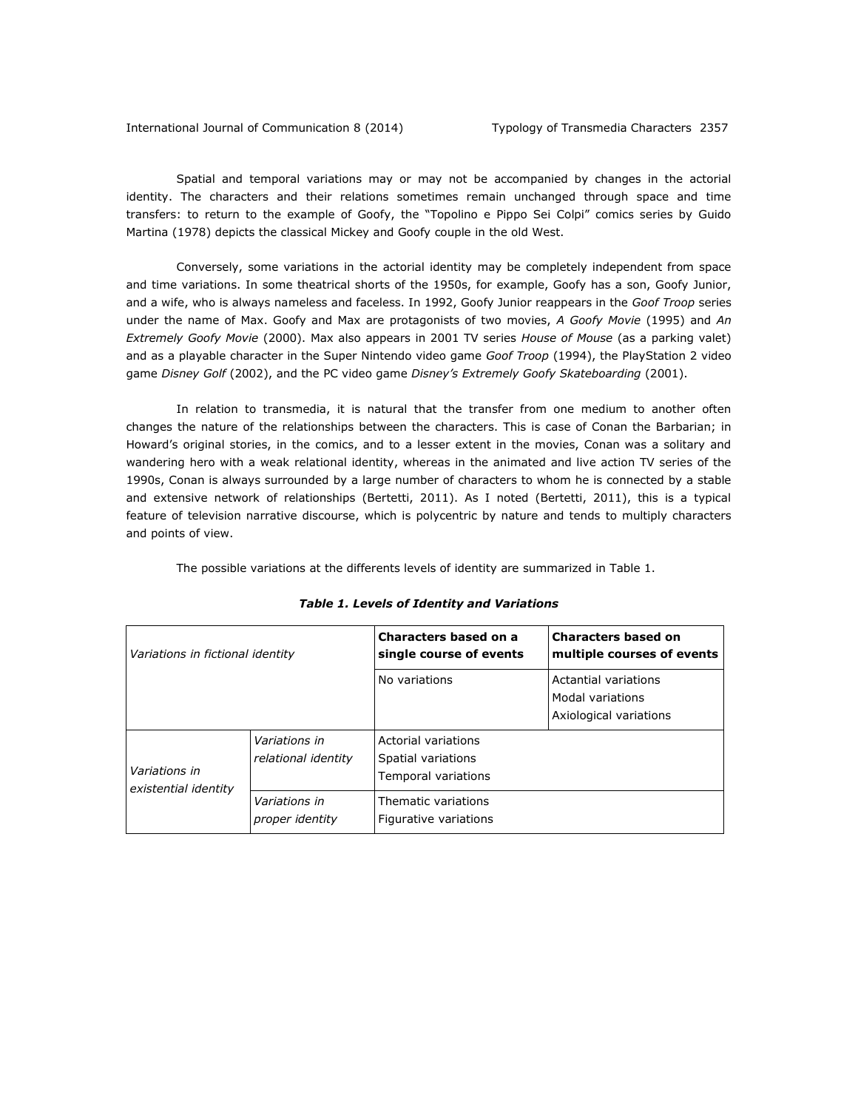International Journal of Communication 8 (2014) Typology of Transmedia Characters 2357

Spatial and temporal variations may or may not be accompanied by changes in the actorial identity. The characters and their relations sometimes remain unchanged through space and time transfers: to return to the example of Goofy, the "Topolino e Pippo Sei Colpi" comics series by Guido Martina (1978) depicts the classical Mickey and Goofy couple in the old West.

Conversely, some variations in the actorial identity may be completely independent from space and time variations. In some theatrical shorts of the 1950s, for example, Goofy has a son, Goofy Junior, and a wife, who is always nameless and faceless. In 1992, Goofy Junior reappears in the *Goof Troop* series under the name of Max. Goofy and Max are protagonists of two movies, *A Goofy Movie* (1995) and *An Extremely Goofy Movie* (2000). Max also appears in 2001 TV series *House of Mouse* (as a parking valet) and as a playable character in the Super Nintendo video game *Goof Troop* (1994), the PlayStation 2 video game *Disney Golf* (2002), and the PC video game *Disney's Extremely Goofy Skateboarding* (2001).

In relation to transmedia, it is natural that the transfer from one medium to another often changes the nature of the relationships between the characters. This is case of Conan the Barbarian; in Howard's original stories, in the comics, and to a lesser extent in the movies, Conan was a solitary and wandering hero with a weak relational identity, whereas in the animated and live action TV series of the 1990s, Conan is always surrounded by a large number of characters to whom he is connected by a stable and extensive network of relationships (Bertetti, 2011). As I noted (Bertetti, 2011), this is a typical feature of television narrative discourse, which is polycentric by nature and tends to multiply characters and points of view.

The possible variations at the differents levels of identity are summarized in Table 1.

| Variations in fictional identity      |                                      | Characters based on a<br>single course of events                 | <b>Characters based on</b><br>multiple courses of events           |
|---------------------------------------|--------------------------------------|------------------------------------------------------------------|--------------------------------------------------------------------|
|                                       |                                      | No variations                                                    | Actantial variations<br>Modal variations<br>Axiological variations |
| Variations in<br>existential identity | Variations in<br>relational identity | Actorial variations<br>Spatial variations<br>Temporal variations |                                                                    |
|                                       | Variations in<br>proper identity     | Thematic variations<br>Figurative variations                     |                                                                    |

*Table 1. Levels of Identity and Variations*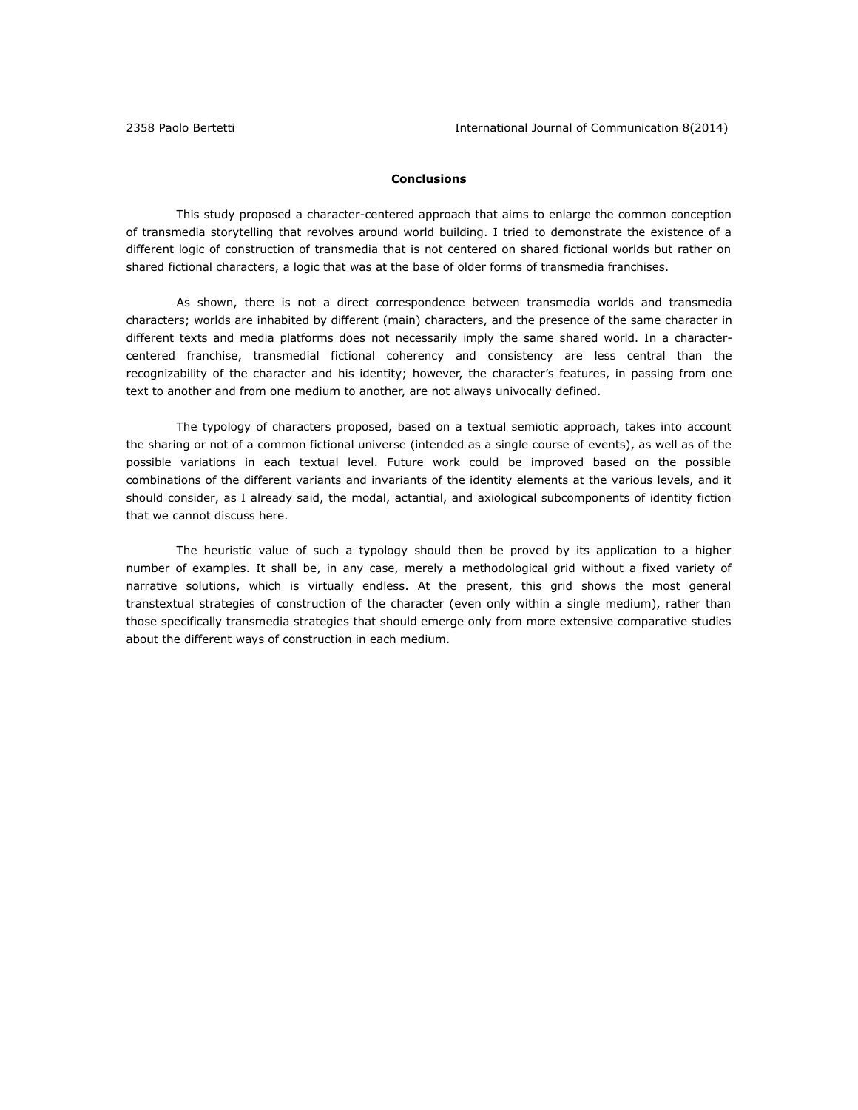# **Conclusions**

This study proposed a character-centered approach that aims to enlarge the common conception of transmedia storytelling that revolves around world building. I tried to demonstrate the existence of a different logic of construction of transmedia that is not centered on shared fictional worlds but rather on shared fictional characters, a logic that was at the base of older forms of transmedia franchises.

As shown, there is not a direct correspondence between transmedia worlds and transmedia characters; worlds are inhabited by different (main) characters, and the presence of the same character in different texts and media platforms does not necessarily imply the same shared world. In a charactercentered franchise, transmedial fictional coherency and consistency are less central than the recognizability of the character and his identity; however, the character's features, in passing from one text to another and from one medium to another, are not always univocally defined.

The typology of characters proposed, based on a textual semiotic approach, takes into account the sharing or not of a common fictional universe (intended as a single course of events), as well as of the possible variations in each textual level. Future work could be improved based on the possible combinations of the different variants and invariants of the identity elements at the various levels, and it should consider, as I already said, the modal, actantial, and axiological subcomponents of identity fiction that we cannot discuss here.

The heuristic value of such a typology should then be proved by its application to a higher number of examples. It shall be, in any case, merely a methodological grid without a fixed variety of narrative solutions, which is virtually endless. At the present, this grid shows the most general transtextual strategies of construction of the character (even only within a single medium), rather than those specifically transmedia strategies that should emerge only from more extensive comparative studies about the different ways of construction in each medium.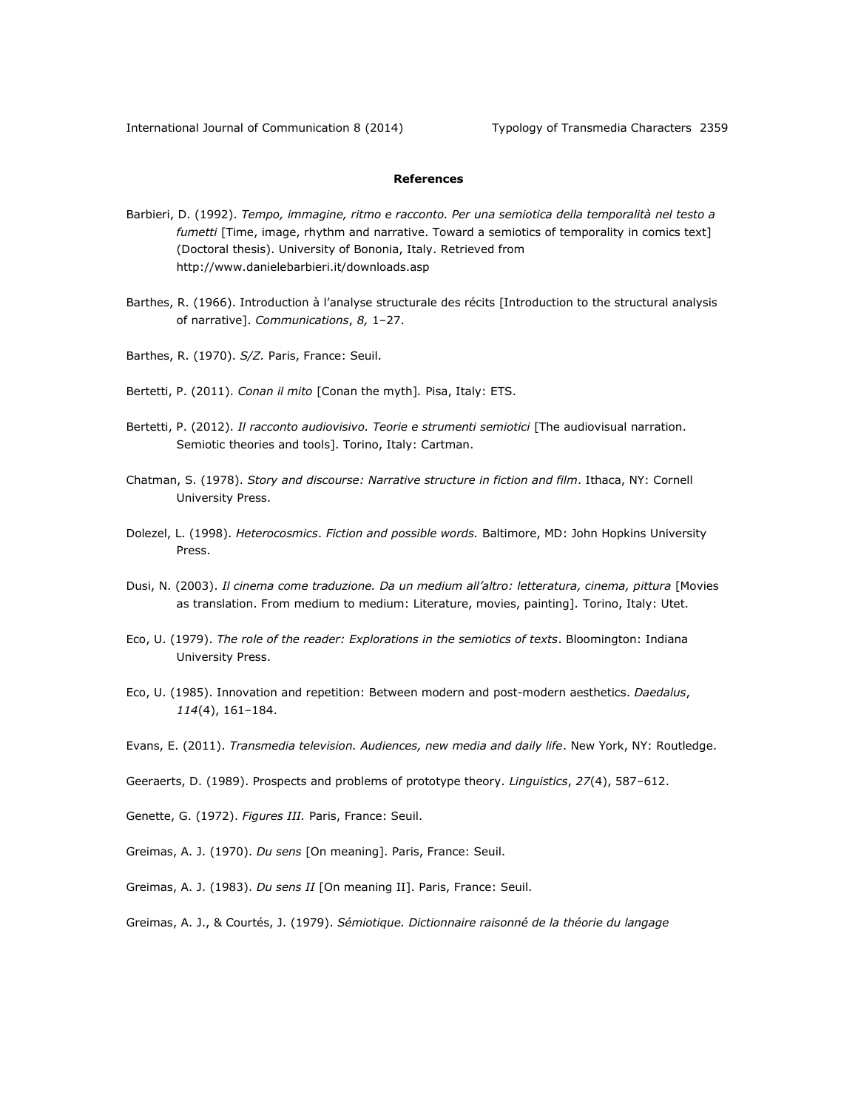# **References**

- Barbieri, D. (1992). *Tempo, immagine, ritmo e racconto. Per una semiotica della temporalità nel testo a fumetti* [Time, image, rhythm and narrative. Toward a semiotics of temporality in comics text] (Doctoral thesis). University of Bononia, Italy. Retrieved from <http://www.danielebarbieri.it/downloads.asp>
- Barthes, R. (1966). Introduction à l'analyse structurale des récits [Introduction to the structural analysis of narrative]. *Communications*, *8,* 1–27.
- Barthes, R. (1970). *S/Z.* Paris, France: Seuil.
- Bertetti, P. (2011). *Conan il mito* [Conan the myth]*.* Pisa, Italy: ETS.
- Bertetti, P. (2012). *Il racconto audiovisivo. Teorie e strumenti semiotici* [The audiovisual narration. Semiotic theories and tools]. Torino, Italy: Cartman.
- Chatman, S. (1978). *Story and discourse: Narrative structure in fiction and film*. Ithaca, NY: Cornell University Press.
- Dolezel, L. (1998). *Heterocosmics*. *Fiction and possible words.* Baltimore, MD: John Hopkins University Press.
- Dusi, N. (2003). *Il cinema come traduzione. Da un medium all'altro: letteratura, cinema, pittura* [Movies as translation. From medium to medium: Literature, movies, painting]*.* Torino, Italy: Utet.
- Eco, U. (1979). *The role of the reader: Explorations in the semiotics of texts*. Bloomington: Indiana University Press.
- Eco, U. (1985). Innovation and repetition: Between modern and post-modern aesthetics. *Daedalus*, *114*(4), 161–184.
- Evans, E. (2011). *Transmedia television. Audiences, new media and daily life*. New York, NY: Routledge.
- Geeraerts, D. (1989). Prospects and problems of prototype theory. *Linguistics*, *27*(4), 587–612.
- Genette, G. (1972). *Figures III.* Paris, France: Seuil.
- Greimas, A. J. (1970). *Du sens* [On meaning]. Paris, France: Seuil.
- Greimas, A. J. (1983). *Du sens II* [On meaning II]. Paris, France: Seuil.
- Greimas, A. J., & Courtés, J. (1979). *Sémiotique. Dictionnaire raisonné de la théorie du langage*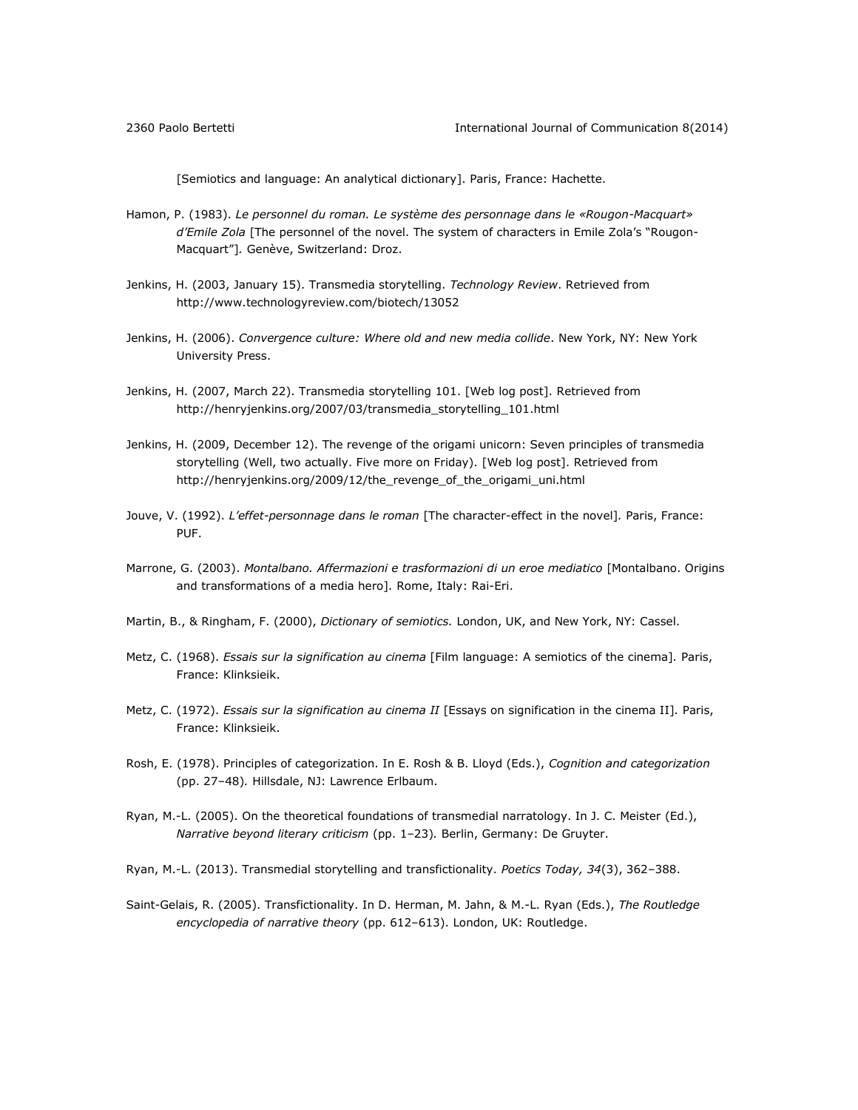[Semiotics and language: An analytical dictionary]. Paris, France: Hachette.

- Hamon, P. (1983). *Le personnel du roman. Le système des personnage dans le «Rougon-Macquart» d'Emile Zola* [The personnel of the novel. The system of characters in Emile Zola's "Rougon-Macquart"]*.* Genève, Switzerland: Droz.
- Jenkins, H. (2003, January 15). Transmedia storytelling. *Technology Review*. Retrieved from <http://www.technologyreview.com/biotech/13052>
- Jenkins, H. (2006). *Convergence culture: Where old and new media collide*. New York, NY: New York University Press.
- Jenkins, H. (2007, March 22). Transmedia storytelling 101. [Web log post]. Retrieved from [http://henryjenkins.org/2007/03/transmedia\\_storytelling\\_101.html](http://www.henryjenkins.org/2007/03/transmedia_storytelling_101.html)
- Jenkins, H. (2009, December 12). The revenge of the origami unicorn: Seven principles of transmedia storytelling (Well, two actually. Five more on Friday). [Web log post]. Retrieved from [http://henryjenkins.org/2009/12/the\\_revenge\\_of\\_the\\_origami\\_uni.html](http://henryjenkins.org/2009/12/the_revenge_of_the_origami_uni.html)
- Jouve, V. (1992). *L'effet-personnage dans le roman* [The character-effect in the novel]*.* Paris, France: PUF.
- Marrone, G. (2003). Montalbano. Affermazioni e trasformazioni di un eroe mediatico [Montalbano. Origins and transformations of a media hero]*.* Rome, Italy: Rai-Eri.
- Martin, B., & Ringham, F. (2000), *Dictionary of semiotics.* London, UK, and New York, NY: Cassel.
- Metz, C. (1968). *Essais sur la signification au cinema* [Film language: A semiotics of the cinema]*.* Paris, France: Klinksieik.
- Metz, C. (1972). *Essais sur la signification au cinema II* [Essays on signification in the cinema II]*.* Paris, France: Klinksieik.
- Rosh, E. (1978). Principles of categorization. In E. Rosh & B. Lloyd (Eds.), *Cognition and categorization* (pp. 27–48)*.* Hillsdale, NJ: Lawrence Erlbaum.
- Ryan, M.-L. (2005). On the theoretical foundations of transmedial narratology. In J. C. Meister (Ed.), *Narrative beyond literary criticism* (pp. 1–23)*.* Berlin, Germany: De Gruyter.
- Ryan, M.-L. (2013). Transmedial storytelling and transfictionality. *Poetics Today, 34*(3), 362–388.
- Saint-Gelais, R. (2005). Transfictionality. In D. Herman, M. Jahn, & M.-L. Ryan (Eds.), *The Routledge encyclopedia of narrative theory* (pp. 612–613). London, UK: Routledge.